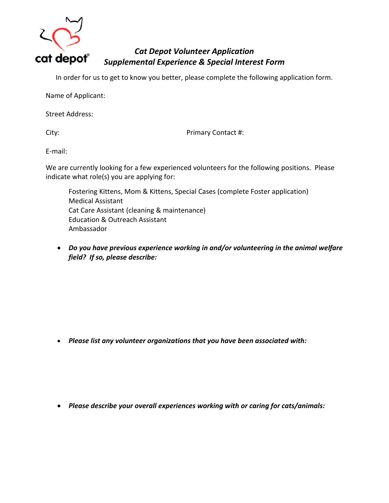

## *Cat Depot Volunteer Application Supplemental Experience & Special Interest Form*

In order for us to get to know you better, please complete the following application form.

Name of Applicant:

Street Address:

City: City: **Primary Contact #:** 

E-mail:

We are currently looking for a few experienced volunteers for the following positions. Please indicate what role(s) you are applying for:

Fostering Kittens, Mom & Kittens, Special Cases (complete Foster application) Medical Assistant Cat Care Assistant (cleaning & maintenance) Education & Outreach Assistant Ambassador

 *Do you have previous experience working in and/or volunteering in the animal welfare field? If so, please describe:*

*Please list any volunteer organizations that you have been associated with:*

*Please describe your overall experiences working with or caring for cats/animals:*